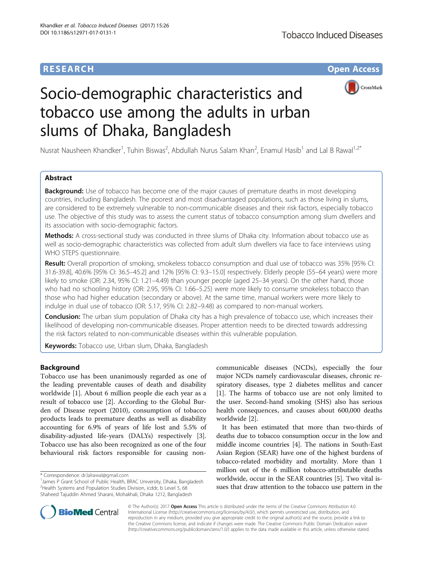# **RESEARCH CHE Open Access**



# Socio-demographic characteristics and tobacco use among the adults in urban slums of Dhaka, Bangladesh

Nusrat Nausheen Khandker<sup>1</sup>, Tuhin Biswas<sup>2</sup>, Abdullah Nurus Salam Khan<sup>2</sup>, Enamul Hasib<sup>1</sup> and Lal B Rawal<sup>1,2\*</sup>

# Abstract

**Background:** Use of tobacco has become one of the major causes of premature deaths in most developing countries, including Bangladesh. The poorest and most disadvantaged populations, such as those living in slums, are considered to be extremely vulnerable to non-communicable diseases and their risk factors, especially tobacco use. The objective of this study was to assess the current status of tobacco consumption among slum dwellers and its association with socio-demographic factors.

Methods: A cross-sectional study was conducted in three slums of Dhaka city. Information about tobacco use as well as socio-demographic characteristics was collected from adult slum dwellers via face to face interviews using WHO STEPS questionnaire.

Result: Overall proportion of smoking, smokeless tobacco consumption and dual use of tobacco was 35% [95% CI: 31.6-39.8], 40.6% [95% CI: 36.5–45.2] and 12% [95% CI: 9.3–15.0] respectively. Elderly people (55–64 years) were more likely to smoke (OR: 2.34, 95% CI: 1.21–4.49) than younger people (aged 25–34 years). On the other hand, those who had no schooling history (OR: 2.95, 95% CI: 1.66–5.25) were more likely to consume smokeless tobacco than those who had higher education (secondary or above). At the same time, manual workers were more likely to indulge in dual use of tobacco (OR: 5.17, 95% CI: 2.82–9.48) as compared to non-manual workers.

**Conclusion:** The urban slum population of Dhaka city has a high prevalence of tobacco use, which increases their likelihood of developing non-communicable diseases. Proper attention needs to be directed towards addressing the risk factors related to non-communicable diseases within this vulnerable population.

Keywords: Tobacco use, Urban slum, Dhaka, Bangladesh

# Background

Tobacco use has been unanimously regarded as one of the leading preventable causes of death and disability worldwide [\[1](#page-6-0)]. About 6 million people die each year as a result of tobacco use [[2\]](#page-7-0). According to the Global Burden of Disease report (2010), consumption of tobacco products leads to premature deaths as well as disability accounting for 6.9% of years of life lost and 5.5% of disability-adjusted life-years (DALYs) respectively [\[3](#page-7-0)]. Tobacco use has also been recognized as one of the four behavioural risk factors responsible for causing noncommunicable diseases (NCDs), especially the four major NCDs namely cardiovascular diseases, chronic respiratory diseases, type 2 diabetes mellitus and cancer [[1\]](#page-6-0). The harms of tobacco use are not only limited to the user. Second-hand smoking (SHS) also has serious health consequences, and causes about 600,000 deaths worldwide [\[2](#page-7-0)].

It has been estimated that more than two-thirds of deaths due to tobacco consumption occur in the low and middle income countries [[4\]](#page-7-0). The nations in South-East Asian Region (SEAR) have one of the highest burdens of tobacco-related morbidity and mortality. More than 1 million out of the 6 million tobacco-attributable deaths worldwide, occur in the SEAR countries [\[5](#page-7-0)]. Two vital issues that draw attention to the tobacco use pattern in the



© The Author(s). 2017 **Open Access** This article is distributed under the terms of the Creative Commons Attribution 4.0 International License [\(http://creativecommons.org/licenses/by/4.0/](http://creativecommons.org/licenses/by/4.0/)), which permits unrestricted use, distribution, and reproduction in any medium, provided you give appropriate credit to the original author(s) and the source, provide a link to the Creative Commons license, and indicate if changes were made. The Creative Commons Public Domain Dedication waiver [\(http://creativecommons.org/publicdomain/zero/1.0/](http://creativecommons.org/publicdomain/zero/1.0/)) applies to the data made available in this article, unless otherwise stated.

<sup>\*</sup> Correspondence: [dr.lalrawal@gmail.com](mailto:dr.lalrawal@gmail.com) <sup>1</sup>

<sup>&</sup>lt;sup>1</sup> James P Grant School of Public Health, BRAC University, Dhaka, Bangladesh <sup>2</sup> Health Systems and Population Studies Division, icddr, b Level 5, 68 Shaheed Tajuddin Ahmed Sharani, Mohakhali, Dhaka 1212, Bangladesh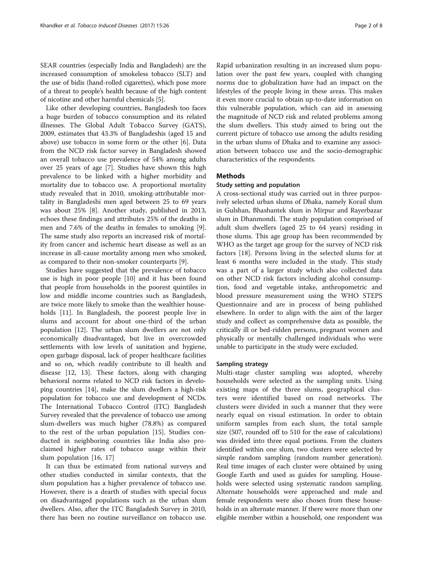SEAR countries (especially India and Bangladesh) are the increased consumption of smokeless tobacco (SLT) and the use of bidis (hand-rolled cigarettes), which pose more of a threat to people's health because of the high content of nicotine and other harmful chemicals [[5](#page-7-0)].

Like other developing countries, Bangladesh too faces a huge burden of tobacco consumption and its related illnesses. The Global Adult Tobacco Survey (GATS), 2009, estimates that 43.3% of Bangladeshis (aged 15 and above) use tobacco in some form or the other [\[6](#page-7-0)]. Data from the NCD risk factor survey in Bangladesh showed an overall tobacco use prevalence of 54% among adults over 25 years of age [\[7](#page-7-0)]. Studies have shown this high prevalence to be linked with a higher morbidity and mortality due to tobacco use. A proportional mortality study revealed that in 2010, smoking-attributable mortality in Bangladeshi men aged between 25 to 69 years was about 25% [\[8\]](#page-7-0). Another study, published in 2013, echoes these findings and attributes 25% of the deaths in men and 7.6% of the deaths in females to smoking [\[9](#page-7-0)]. The same study also reports an increased risk of mortality from cancer and ischemic heart disease as well as an increase in all-cause mortality among men who smoked, as compared to their non-smoker counterparts [\[9](#page-7-0)].

Studies have suggested that the prevalence of tobacco use is high in poor people [[10\]](#page-7-0) and it has been found that people from households in the poorest quintiles in low and middle income countries such as Bangladesh, are twice more likely to smoke than the wealthier households [\[11](#page-7-0)]. In Bangladesh, the poorest people live in slums and account for about one-third of the urban population [\[12](#page-7-0)]. The urban slum dwellers are not only economically disadvantaged, but live in overcrowded settlements with low levels of sanitation and hygiene, open garbage disposal, lack of proper healthcare facilities and so on, which readily contribute to ill health and disease [\[12](#page-7-0), [13\]](#page-7-0). These factors, along with changing behavioral norms related to NCD risk factors in developing countries [\[14\]](#page-7-0), make the slum dwellers a high-risk population for tobacco use and development of NCDs. The International Tobacco Control (ITC) Bangladesh Survey revealed that the prevalence of tobacco use among slum-dwellers was much higher (78.8%) as compared to the rest of the urban population [[15\]](#page-7-0). Studies conducted in neighboring countries like India also proclaimed higher rates of tobacco usage within their slum population [\[16, 17\]](#page-7-0)

It can thus be estimated from national surveys and other studies conducted in similar contexts, that the slum population has a higher prevalence of tobacco use. However, there is a dearth of studies with special focus on disadvantaged populations such as the urban slum dwellers. Also, after the ITC Bangladesh Survey in 2010, there has been no routine surveillance on tobacco use.

Rapid urbanization resulting in an increased slum population over the past few years, coupled with changing norms due to globalization have had an impact on the lifestyles of the people living in these areas. This makes it even more crucial to obtain up-to-date information on this vulnerable population, which can aid in assessing the magnitude of NCD risk and related problems among the slum dwellers. This study aimed to bring out the current picture of tobacco use among the adults residing in the urban slums of Dhaka and to examine any association between tobacco use and the socio-demographic characteristics of the respondents.

# Methods

## Study setting and population

A cross-sectional study was carried out in three purposively selected urban slums of Dhaka, namely Korail slum in Gulshan, Bhashantek slum in Mirpur and Rayerbazar slum in Dhanmondi. The study population comprised of adult slum dwellers (aged 25 to 64 years) residing in those slums. This age group has been recommended by WHO as the target age group for the survey of NCD risk factors [[18](#page-7-0)]. Persons living in the selected slums for at least 6 months were included in the study. This study was a part of a larger study which also collected data on other NCD risk factors including alcohol consumption, food and vegetable intake, anthropometric and blood pressure measurement using the WHO STEPS Questionnaire and are in process of being published elsewhere. In order to align with the aim of the larger study and collect as comprehensive data as possible, the critically ill or bed-ridden persons, pregnant women and physically or mentally challenged individuals who were unable to participate in the study were excluded.

#### Sampling strategy

Multi-stage cluster sampling was adopted, whereby households were selected as the sampling units. Using existing maps of the three slums, geographical clusters were identified based on road networks. The clusters were divided in such a manner that they were nearly equal on visual estimation. In order to obtain uniform samples from each slum, the total sample size (507, rounded off to 510 for the ease of calculations) was divided into three equal portions. From the clusters identified within one slum, two clusters were selected by simple random sampling (random number generation). Real time images of each cluster were obtained by using Google Earth and used as guides for sampling. Households were selected using systematic random sampling. Alternate households were approached and male and female respondents were also chosen from these households in an alternate manner. If there were more than one eligible member within a household, one respondent was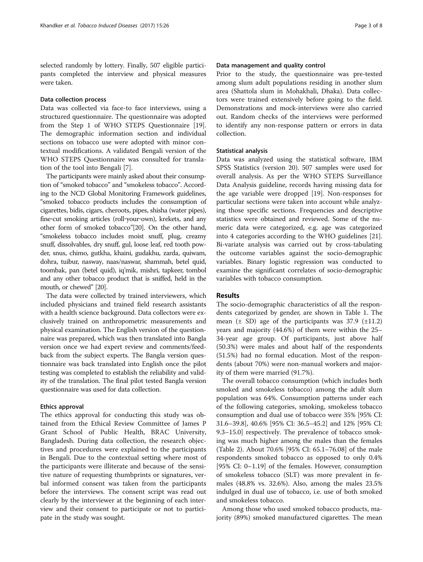selected randomly by lottery. Finally, 507 eligible participants completed the interview and physical measures were taken.

## Data collection process

Data was collected via face-to face interviews, using a structured questionnaire. The questionnaire was adopted from the Step 1 of WHO STEPS Questionnaire [\[19](#page-7-0)]. The demographic information section and individual sections on tobacco use were adopted with minor contextual modifications. A validated Bengali version of the WHO STEPS Questionnaire was consulted for translation of the tool into Bengali [[7\]](#page-7-0).

The participants were mainly asked about their consumption of "smoked tobacco" and "smokeless tobacco". According to the NCD Global Monitoring Framework guidelines, "smoked tobacco products includes the consumption of cigarettes, bidis, cigars, cheroots, pipes, shisha (water pipes), fine‐cut smoking articles (roll‐your‐own), krekets, and any other form of smoked tobacco"[\[20](#page-7-0)]. On the other hand, "smokeless tobacco includes moist snuff, plug, creamy snuff, dissolvables, dry snuff, gul, loose leaf, red tooth powder, snus, chimo, gutkha, khaini, gudakhu, zarda, quiwam, dohra, tuibur, nasway, naas/naswar, shammah, betel quid, toombak, pan (betel quid), iq'mik, mishri, tapkeer, tombol and any other tobacco product that is sniffed, held in the mouth, or chewed" [\[20](#page-7-0)].

The data were collected by trained interviewers, which included physicians and trained field research assistants with a health science background. Data collectors were exclusively trained on anthropometric measurements and physical examination. The English version of the questionnaire was prepared, which was then translated into Bangla version once we had expert review and comments/feedback from the subject experts. The Bangla version questionnaire was back translated into English once the pilot testing was completed to establish the reliability and validity of the translation. The final pilot tested Bangla version questionnaire was used for data collection.

# Ethics approval

The ethics approval for conducting this study was obtained from the Ethical Review Committee of James P Grant School of Public Health, BRAC University, Bangladesh. During data collection, the research objectives and procedures were explained to the participants in Bengali. Due to the contextual setting where most of the participants were illiterate and because of the sensitive nature of requesting thumbprints or signatures, verbal informed consent was taken from the participants before the interviews. The consent script was read out clearly by the interviewer at the beginning of each interview and their consent to participate or not to participate in the study was sought.

## Data management and quality control

Prior to the study, the questionnaire was pre-tested among slum adult populations residing in another slum area (Shattola slum in Mohakhali, Dhaka). Data collectors were trained extensively before going to the field. Demonstrations and mock-interviews were also carried out. Random checks of the interviews were performed to identify any non-response pattern or errors in data collection.

## Statistical analysis

Data was analyzed using the statistical software, IBM SPSS Statistics (version 20). 507 samples were used for overall analysis. As per the WHO STEPS Surveillance Data Analysis guideline, records having missing data for the age variable were dropped [[19\]](#page-7-0). Non-responses for particular sections were taken into account while analyzing those specific sections. Frequencies and descriptive statistics were obtained and reviewed. Some of the numeric data were categorized, e.g. age was categorized into 4 categories according to the WHO guidelines [\[21](#page-7-0)]. Bi-variate analysis was carried out by cross-tabulating the outcome variables against the socio-demographic variables. Binary logistic regression was conducted to examine the significant correlates of socio-demographic variables with tobacco consumption.

## Results

The socio-demographic characteristics of all the respondents categorized by gender, are shown in Table [1](#page-3-0). The mean  $(\pm$  SD) age of the participants was 37.9  $(\pm 11.2)$ years and majority (44.6%) of them were within the 25– 34-year age group. Of participants, just above half (50.3%) were males and about half of the respondents (51.5%) had no formal education. Most of the respondents (about 70%) were non-manual workers and majority of them were married (91.7%).

The overall tobacco consumption (which includes both smoked and smokeless tobacco) among the adult slum population was 64%. Consumption patterns under each of the following categories, smoking, smokeless tobacco consumption and dual use of tobacco were 35% [95% CI: 31.6–39.8], 40.6% [95% CI: 36.5–45.2] and 12% [95% CI: 9.3–15.0] respectively. The prevalence of tobacco smoking was much higher among the males than the females (Table [2](#page-4-0)). About 70.6% [95% CI: 65.1–76.08] of the male respondents smoked tobacco as opposed to only 0.4% [95% CI: 0–1.19] of the females. However, consumption of smokeless tobacco (SLT) was more prevalent in females (48.8% vs. 32.6%). Also, among the males 23.5% indulged in dual use of tobacco, i.e. use of both smoked and smokeless tobacco.

Among those who used smoked tobacco products, majority (89%) smoked manufactured cigarettes. The mean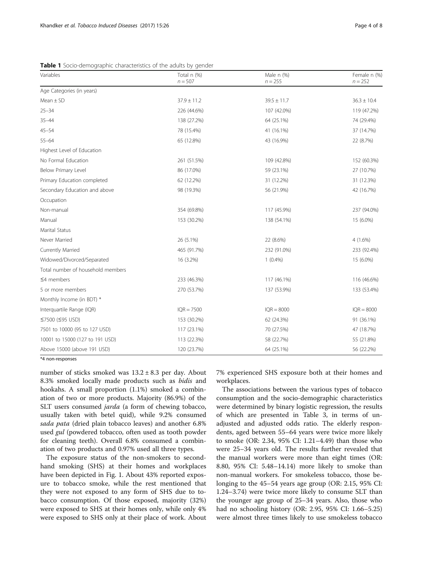| Variables                         | Total n (%)<br>$n = 507$ | Male n (%)<br>$n = 255$ | Female n (%)<br>$n = 252$ |
|-----------------------------------|--------------------------|-------------------------|---------------------------|
| Age Categories (in years)         |                          |                         |                           |
| $Mean \pm SD$                     | $37.9 \pm 11.2$          | $39.5 \pm 11.7$         | $36.3 \pm 10.4$           |
| $25 - 34$                         | 226 (44.6%)              | 107 (42.0%)             | 119 (47.2%)               |
| $35 - 44$                         | 138 (27.2%)              | 64 (25.1%)              | 74 (29.4%)                |
| $45 - 54$                         | 78 (15.4%)               | 41 (16.1%)              | 37 (14.7%)                |
| $55 - 64$                         | 65 (12.8%)               | 43 (16.9%)              | 22 (8.7%)                 |
| Highest Level of Education        |                          |                         |                           |
| No Formal Education               | 261 (51.5%)              | 109 (42.8%)             | 152 (60.3%)               |
| Below Primary Level               | 86 (17.0%)               | 59 (23.1%)              | 27 (10.7%)                |
| Primary Education completed       | 62 (12.2%)               | 31 (12.2%)              | 31 (12.3%)                |
| Secondary Education and above     | 98 (19.3%)               | 56 (21.9%)              | 42 (16.7%)                |
| Occupation                        |                          |                         |                           |
| Non-manual                        | 354 (69.8%)              | 117 (45.9%)             | 237 (94.0%)               |
| Manual                            | 153 (30.2%)              | 138 (54.1%)             | 15 (6.0%)                 |
| Marital Status                    |                          |                         |                           |
| Never Married                     | 26 (5.1%)                | 22 (8.6%)               | $4(1.6\%)$                |
| Currently Married                 | 465 (91.7%)              | 232 (91.0%)             | 233 (92.4%)               |
| Widowed/Divorced/Separated        | 16 (3.2%)                | $1(0.4\%)$              | 15 (6.0%)                 |
| Total number of household members |                          |                         |                           |
| $\leq$ 4 members                  | 233 (46.3%)              | 117 (46.1%)             | 116 (46.6%)               |
| 5 or more members                 | 270 (53.7%)              | 137 (53.9%)             | 133 (53.4%)               |
| Monthly Income (in BDT) *         |                          |                         |                           |
| Interquartile Range (IQR)         | $IQR = 7500$             | $IQR = 8000$            | $IQR = 8000$              |
| ≤7500 (≤95 USD)                   | 153 (30.2%)              | 62 (24.3%)              | 91 (36.1%)                |
| 7501 to 10000 (95 to 127 USD)     | 117 (23.1%)              | 70 (27.5%)              | 47 (18.7%)                |
| 10001 to 15000 (127 to 191 USD)   | 113 (22.3%)              | 58 (22.7%)              | 55 (21.8%)                |
| Above 15000 (above 191 USD)       | 120 (23.7%)              | 64 (25.1%)              | 56 (22.2%)                |

<span id="page-3-0"></span>Table 1 Socio-demographic characteristics of the adults by gender

\*4 non-responses

number of sticks smoked was  $13.2 \pm 8.3$  per day. About 8.3% smoked locally made products such as bidis and hookahs. A small proportion (1.1%) smoked a combination of two or more products. Majority (86.9%) of the SLT users consumed jarda (a form of chewing tobacco, usually taken with betel quid), while 9.2% consumed sada pata (dried plain tobacco leaves) and another 6.8% used *gul* (powdered tobacco, often used as tooth powder for cleaning teeth). Overall 6.8% consumed a combination of two products and 0.97% used all three types.

The exposure status of the non-smokers to secondhand smoking (SHS) at their homes and workplaces have been depicted in Fig. [1.](#page-4-0) About 43% reported exposure to tobacco smoke, while the rest mentioned that they were not exposed to any form of SHS due to tobacco consumption. Of those exposed, majority (32%) were exposed to SHS at their homes only, while only 4% were exposed to SHS only at their place of work. About

7% experienced SHS exposure both at their homes and workplaces.

The associations between the various types of tobacco consumption and the socio-demographic characteristics were determined by binary logistic regression, the results of which are presented in Table [3](#page-5-0), in terms of unadjusted and adjusted odds ratio. The elderly respondents, aged between 55–64 years were twice more likely to smoke (OR: 2.34, 95% CI: 1.21–4.49) than those who were 25–34 years old. The results further revealed that the manual workers were more than eight times (OR: 8.80, 95% CI: 5.48–14.14) more likely to smoke than non-manual workers. For smokeless tobacco, those belonging to the 45–54 years age group (OR: 2.15, 95% CI: 1.24–3.74) were twice more likely to consume SLT than the younger age group of 25–34 years. Also, those who had no schooling history (OR: 2.95, 95% CI: 1.66–5.25) were almost three times likely to use smokeless tobacco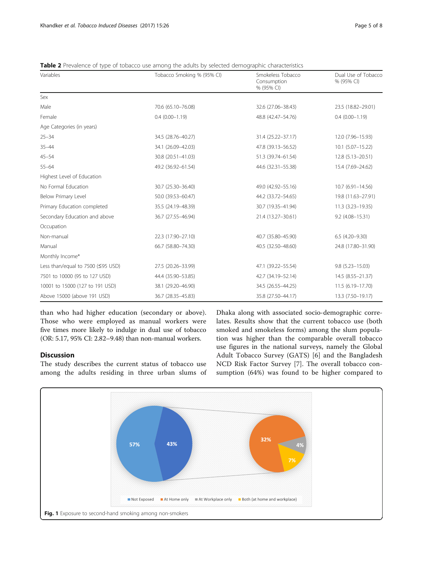<span id="page-4-0"></span>

| Table 2 Prevalence of type of tobacco use among the adults by selected demographic characteristics |  |  |
|----------------------------------------------------------------------------------------------------|--|--|
|----------------------------------------------------------------------------------------------------|--|--|

| $\overline{\phantom{a}}$<br>Variables | Tobacco Smoking % (95% CI) | Smokeless Tobacco<br>Consumption<br>% (95% CI) | Dual Use of Tobacco<br>% (95% CI) |
|---------------------------------------|----------------------------|------------------------------------------------|-----------------------------------|
| Sex                                   |                            |                                                |                                   |
| Male                                  | 70.6 (65.10-76.08)         | 32.6 (27.06-38.43)                             | 23.5 (18.82-29.01)                |
| Female                                | $0.4(0.00 - 1.19)$         | 48.8 (42.47-54.76)                             | $0.4(0.00 - 1.19)$                |
| Age Categories (in years)             |                            |                                                |                                   |
| $25 - 34$                             | 34.5 (28.76-40.27)         | 31.4 (25.22-37.17)                             | 12.0 (7.96-15.93)                 |
| $35 - 44$                             | 34.1 (26.09-42.03)         | 47.8 (39.13-56.52)                             | 10.1 (5.07-15.22)                 |
| $45 - 54$                             | 30.8 (20.51-41.03)         | 51.3 (39.74-61.54)                             | 12.8 (5.13-20.51)                 |
| $55 - 64$                             | 49.2 (36.92-61.54)         | 44.6 (32.31-55.38)                             | 15.4 (7.69-24.62)                 |
| Highest Level of Education            |                            |                                                |                                   |
| No Formal Education                   | 30.7 (25.30-36.40)         | 49.0 (42.92-55.16)                             | $10.7(6.91 - 14.56)$              |
| Below Primary Level                   | 50.0 (39.53-60.47)         | 44.2 (33.72-54.65)                             | 19.8 (11.63-27.91)                |
| Primary Education completed           | 35.5 (24.19-48.39)         | 30.7 (19.35-41.94)                             | 11.3 (3.23-19.35)                 |
| Secondary Education and above         | 36.7 (27.55-46.94)         | 21.4 (13.27-30.61)                             | $9.2(4.08 - 15.31)$               |
| Occupation                            |                            |                                                |                                   |
| Non-manual                            | 22.3 (17.90-27.10)         | 40.7 (35.80-45.90)                             | $6.5(4.20 - 9.30)$                |
| Manual                                | 66.7 (58.80-74.30)         | 40.5 (32.50-48.60)                             | 24.8 (17.80-31.90)                |
| Monthly Income*                       |                            |                                                |                                   |
| Less than/equal to 7500 (≤95 USD)     | 27.5 (20.26-33.99)         | 47.1 (39.22-55.54)                             | $9.8(5.23 - 15.03)$               |
| 7501 to 10000 (95 to 127 USD)         | 44.4 (35.90-53.85)         | 42.7 (34.19-52.14)                             | 14.5 (8.55-21.37)                 |
| 10001 to 15000 (127 to 191 USD)       | 38.1 (29.20-46.90)         | 34.5 (26.55-44.25)                             | 11.5 (6.19 - 17.70)               |
| Above 15000 (above 191 USD)           | 36.7 (28.35-45.83)         | 35.8 (27.50-44.17)                             | 13.3 (7.50-19.17)                 |

than who had higher education (secondary or above). Those who were employed as manual workers were five times more likely to indulge in dual use of tobacco (OR: 5.17, 95% CI: 2.82–9.48) than non-manual workers.

# **Discussion**

The study describes the current status of tobacco use among the adults residing in three urban slums of

Dhaka along with associated socio-demographic correlates. Results show that the current tobacco use (both smoked and smokeless forms) among the slum population was higher than the comparable overall tobacco use figures in the national surveys, namely the Global Adult Tobacco Survey (GATS) [\[6](#page-7-0)] and the Bangladesh NCD Risk Factor Survey [\[7](#page-7-0)]. The overall tobacco consumption (64%) was found to be higher compared to

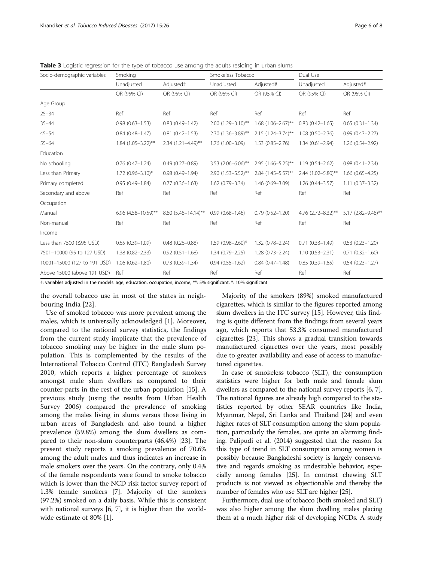| Socio-demographic variables  | Smoking                 |                         | Smokeless Tobacco      |                      | Dual Use            |                     |
|------------------------------|-------------------------|-------------------------|------------------------|----------------------|---------------------|---------------------|
|                              | Unadjusted              | Adjusted#               | Unadjusted             | Adjusted#            | Unadjusted          | Adjusted#           |
|                              | OR (95% CI)             | OR (95% CI)             | OR (95% CI)            | OR (95% CI)          | OR (95% CI)         | OR (95% CI)         |
| Age Group                    |                         |                         |                        |                      |                     |                     |
| $25 - 34$                    | Ref                     | Ref                     | Ref                    | Ref                  | Ref                 | Ref                 |
| $35 - 44$                    | $0.98(0.63 - 1.53)$     | $0.83(0.49 - 1.42)$     | $2.00(1.29 - 3.10)$ ** | $1.68$ (1.06-2.67)** | $0.83(0.42 - 1.65)$ | $0.65(0.31 - 1.34)$ |
| $45 - 54$                    | $0.84(0.48 - 1.47)$     | $0.81(0.42 - 1.53)$     | 2.30 (1.36-3.89)**     | 2.15 (1.24-3.74)**   | $1.08(0.50 - 2.36)$ | $0.99(0.43 - 2.27)$ |
| $55 - 64$                    | $1.84$ (1.05-3.22)**    | 2.34 (1.21-4.49)**      | 1.76 (1.00-3.09)       | $1.53(0.85 - 2.76)$  | $1.34(0.61 - 2.94)$ | $1.26(0.54 - 2.92)$ |
| Education                    |                         |                         |                        |                      |                     |                     |
| No schooling                 | $0.76$ $(0.47 - 1.24)$  | $0.49(0.27 - 0.89)$     | $3.53$ (2.06-6.06)**   | 2.95 (1.66-5.25)**   | $1.19(0.54 - 2.62)$ | $0.98(0.41 - 2.34)$ |
| Less than Primary            | $1.72$ (0.96-3.10)*     | $0.98(0.49 - 1.94)$     | 2.90 (1.53-5.52)**     | 2.84 (1.45-5.57)**   | 2.44 (1.02-5.80)**  | $1.66$ (0.65-4.25)  |
| Primary completed            | $0.95(0.49 - 1.84)$     | $0.77(0.36 - 1.63)$     | $1.62(0.79 - 3.34)$    | 1.46 (0.69-3.09)     | $1.26(0.44 - 3.57)$ | $1.11(0.37 - 3.32)$ |
| Secondary and above          | Ref                     | Ref                     | Ref                    | Ref                  | Ref                 | Ref                 |
| Occupation                   |                         |                         |                        |                      |                     |                     |
| Manual                       | $6.96(4.58 - 10.59)$ ** | $8.80(5.48 - 14.14)$ ** | $0.99(0.68 - 1.46)$    | $0.79(0.52 - 1.20)$  | 4.76 (2.72-8.32)**  | 5.17 (2.82-9.48)**  |
| Non-manual                   | Ref                     | Ref                     | Ref                    | Ref                  | Ref                 | Ref                 |
| Income                       |                         |                         |                        |                      |                     |                     |
| Less than 7500 (≤95 USD)     | $0.65(0.39 - 1.09)$     | $0.48(0.26 - 0.88)$     | 1.59 (0.98-2.60)*      | $1.32(0.78 - 2.24)$  | $0.71(0.33 - 1.49)$ | $0.53(0.23 - 1.20)$ |
| 7501-10000 (95 to 127 USD)   | $1.38(0.82 - 2.33)$     | $0.92(0.51 - 1.68)$     | $1.34(0.79 - 2.25)$    | $1.28(0.73 - 2.24)$  | $1.10(0.53 - 2.31)$ | $0.71(0.32 - 1.60)$ |
| 10001-15000 (127 to 191 USD) | $1.06(0.62 - 1.80)$     | $0.73(0.39 - 1.34)$     | $0.94(0.55 - 1.62)$    | $0.84(0.47 - 1.48)$  | $0.85(0.39 - 1.85)$ | $0.54(0.23 - 1.27)$ |
| Above 15000 (above 191 USD)  | Ref                     | Ref                     | Ref                    | Ref                  | Ref                 | Ref                 |

<span id="page-5-0"></span>Table 3 Logistic regression for the type of tobacco use among the adults residing in urban slums

#: variables adjusted in the models: age, education, occupation, income; \*\*: 5% significant, \*: 10% significant

the overall tobacco use in most of the states in neighbouring India [[22\]](#page-7-0).

Use of smoked tobacco was more prevalent among the males, which is universally acknowledged [\[1](#page-6-0)]. Moreover, compared to the national survey statistics, the findings from the current study implicate that the prevalence of tobacco smoking may be higher in the male slum population. This is complemented by the results of the International Tobacco Control (ITC) Bangladesh Survey 2010, which reports a higher percentage of smokers amongst male slum dwellers as compared to their counter-parts in the rest of the urban population [\[15](#page-7-0)]. A previous study (using the results from Urban Health Survey 2006) compared the prevalence of smoking among the males living in slums versus those living in urban areas of Bangladesh and also found a higher prevalence (59.8%) among the slum dwellers as compared to their non-slum counterparts (46.4%) [\[23](#page-7-0)]. The present study reports a smoking prevalence of 70.6% among the adult males and thus indicates an increase in male smokers over the years. On the contrary, only 0.4% of the female respondents were found to smoke tobacco which is lower than the NCD risk factor survey report of 1.3% female smokers [\[7](#page-7-0)]. Majority of the smokers (97.2%) smoked on a daily basis. While this is consistent with national surveys [[6, 7](#page-7-0)], it is higher than the worldwide estimate of 80% [\[1](#page-6-0)].

Majority of the smokers (89%) smoked manufactured cigarettes, which is similar to the figures reported among slum dwellers in the ITC survey [\[15\]](#page-7-0). However, this finding is quite different from the findings from several years ago, which reports that 53.3% consumed manufactured cigarettes [[23](#page-7-0)]. This shows a gradual transition towards manufactured cigarettes over the years, most possibly due to greater availability and ease of access to manufactured cigarettes.

In case of smokeless tobacco (SLT), the consumption statistics were higher for both male and female slum dwellers as compared to the national survey reports [[6, 7](#page-7-0)]. The national figures are already high compared to the statistics reported by other SEAR countries like India, Myanmar, Nepal, Sri Lanka and Thailand [\[24\]](#page-7-0) and even higher rates of SLT consumption among the slum population, particularly the females, are quite an alarming finding. Palipudi et al. (2014) suggested that the reason for this type of trend in SLT consumption among women is possibly because Bangladeshi society is largely conservative and regards smoking as undesirable behavior, especially among females [\[25\]](#page-7-0). In contrast chewing SLT products is not viewed as objectionable and thereby the number of females who use SLT are higher [\[25\]](#page-7-0).

Furthermore, dual use of tobacco (both smoked and SLT) was also higher among the slum dwelling males placing them at a much higher risk of developing NCDs. A study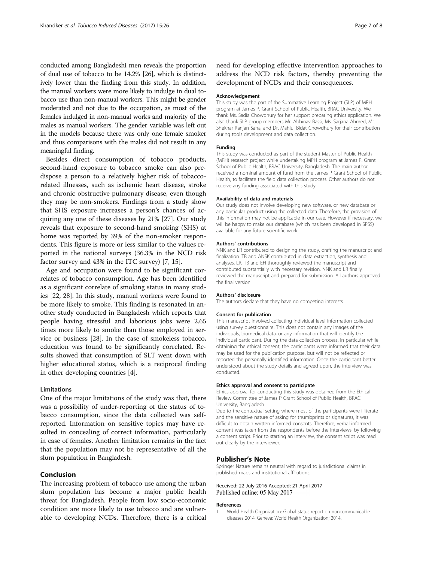<span id="page-6-0"></span>conducted among Bangladeshi men reveals the proportion of dual use of tobacco to be 14.2% [[26](#page-7-0)], which is distinctively lower than the finding from this study. In addition, the manual workers were more likely to indulge in dual tobacco use than non-manual workers. This might be gender moderated and not due to the occupation, as most of the females indulged in non-manual works and majority of the males as manual workers. The gender variable was left out in the models because there was only one female smoker and thus comparisons with the males did not result in any meaningful finding.

Besides direct consumption of tobacco products, second-hand exposure to tobacco smoke can also predispose a person to a relatively higher risk of tobaccorelated illnesses, such as ischemic heart disease, stroke and chronic obstructive pulmonary disease, even though they may be non-smokers. Findings from a study show that SHS exposure increases a person's chances of acquiring any one of these diseases by 21% [[27\]](#page-7-0). Our study reveals that exposure to second-hand smoking (SHS) at home was reported by 39% of the non-smoker respondents. This figure is more or less similar to the values reported in the national surveys (36.3% in the NCD risk factor survey and 43% in the ITC survey) [[7, 15\]](#page-7-0).

Age and occupation were found to be significant correlates of tobacco consumption. Age has been identified as a significant correlate of smoking status in many studies [[22, 28\]](#page-7-0). In this study, manual workers were found to be more likely to smoke. This finding is resonated in another study conducted in Bangladesh which reports that people having stressful and laborious jobs were 2.65 times more likely to smoke than those employed in service or business [\[28](#page-7-0)]. In the case of smokeless tobacco, education was found to be significantly correlated. Results showed that consumption of SLT went down with higher educational status, which is a reciprocal finding in other developing countries [\[4](#page-7-0)].

## Limitations

One of the major limitations of the study was that, there was a possibility of under-reporting of the status of tobacco consumption, since the data collected was selfreported. Information on sensitive topics may have resulted in concealing of correct information, particularly in case of females. Another limitation remains in the fact that the population may not be representative of all the slum population in Bangladesh.

## Conclusion

The increasing problem of tobacco use among the urban slum population has become a major public health threat for Bangladesh. People from low socio-economic condition are more likely to use tobacco and are vulnerable to developing NCDs. Therefore, there is a critical

need for developing effective intervention approaches to address the NCD risk factors, thereby preventing the development of NCDs and their consequences.

#### Acknowledgement

This study was the part of the Summative Learning Project (SLP) of MPH program at James P. Grant School of Public Health, BRAC University. We thank Ms. Sadia Chowdhury for her support preparing ethics application. We also thank SLP group members Mr. Abhinav Bassi, Ms. Sarjana Ahmed, Mr. Shekhar Ranjan Saha, and Dr. Mahiul Bidat Chowdhury for their contribution during tools development and data collection.

#### Funding

This study was conducted as part of the student Master of Public Health (MPH) research project while undertaking MPH program at James P. Grant School of Public Health, BRAC University, Bangladesh. The main author received a nominal amount of fund from the James P Grant School of Public Health, to facilitate the field data collection process. Other authors do not receive any funding associated with this study.

#### Availability of data and materials

Our study does not involve developing new software, or new database or any particular product using the collected data. Therefore, the provision of this information may not be applicable in our case. However if necessary, we will be happy to make our database (which has been developed in SPSS) available for any future scientific work.

#### Authors' contributions

NNK and LR contributed to designing the study, drafting the manuscript and finalization. TB and ANSK contributed in data extraction, synthesis and analyses. LR, TB and EH thoroughly reviewed the manuscript and contributed substantially with necessary revision. NNK and LR finally reviewed the manuscript and prepared for submission. All authors approved the final version.

#### Authors' disclosure

The authors declare that they have no competing interests.

#### Consent for publication

This manuscript involved collecting individual level information collected using survey questionnaire. This does not contain any images of the individuals, biomedical data, or any information that will identify the individual participant. During the data collection process, in particular while obtaining the ethical consent, the participants were informed that their data may be used for the publication purpose, but will not be reflected or reported the personally identified information. Once the participant better understood about the study details and agreed upon, the interview was conducted.

#### Ethics approval and consent to participate

Ethics approval for conducting this study was obtained from the Ethical Review Committee of James P Grant School of Public Health, BRAC University, Bangladesh.

Due to the contextual setting where most of the participants were illiterate and the sensitive nature of asking for thumbprints or signatures, it was difficult to obtain written informed consents. Therefore, verbal informed consent was taken from the respondents before the interviews, by following a consent script. Prior to starting an interview, the consent script was read out clearly by the interviewer.

#### Publisher's Note

Springer Nature remains neutral with regard to jurisdictional claims in published maps and institutional affiliations.

## Received: 22 July 2016 Accepted: 21 April 2017 Published online: 05 May 2017

#### References

1. World Health Organization: Global status report on noncommunicable diseases 2014. Geneva: World Health Organization; 2014.